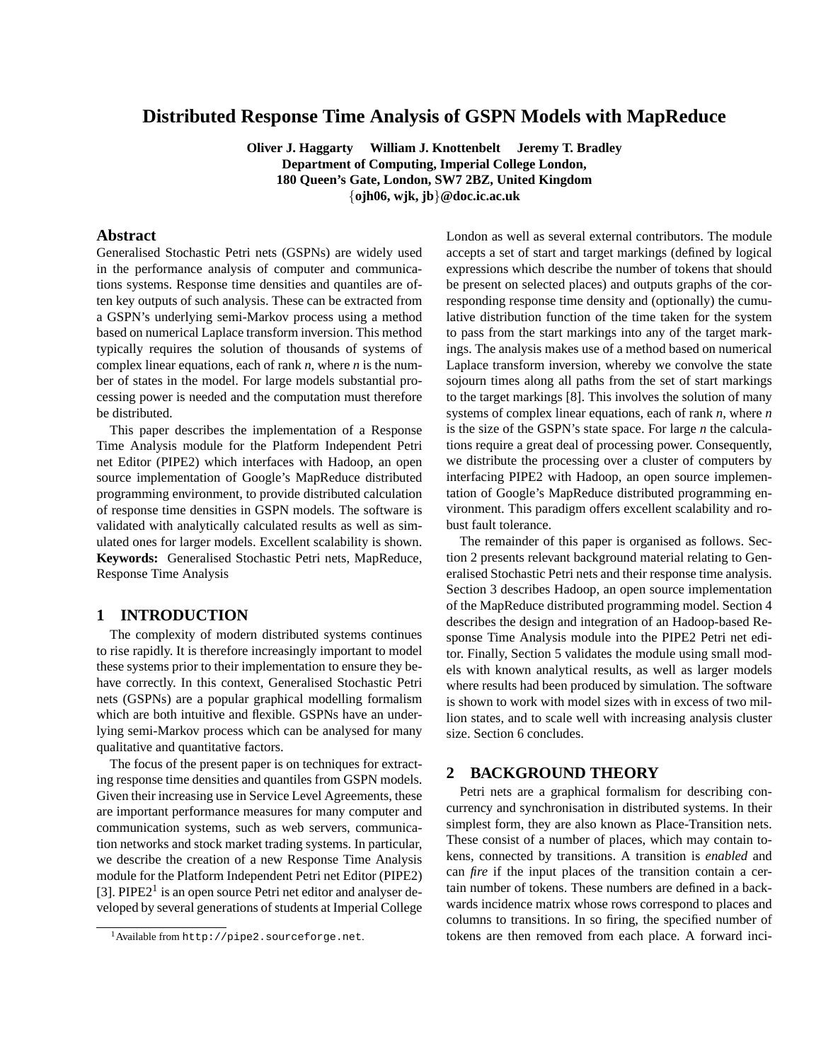# **Distributed Response Time Analysis of GSPN Models with MapReduce**

**Oliver J. Haggarty William J. Knottenbelt Jeremy T. Bradley Department of Computing, Imperial College London, 180 Queen's Gate, London, SW7 2BZ, United Kingdom** {**ojh06, wjk, jb**}**@doc.ic.ac.uk**

## **Abstract**

Generalised Stochastic Petri nets (GSPNs) are widely used in the performance analysis of computer and communications systems. Response time densities and quantiles are often key outputs of such analysis. These can be extracted from a GSPN's underlying semi-Markov process using a method based on numerical Laplace transform inversion. This method typically requires the solution of thousands of systems of complex linear equations, each of rank *n*, where *n* is the number of states in the model. For large models substantial processing power is needed and the computation must therefore be distributed.

This paper describes the implementation of a Response Time Analysis module for the Platform Independent Petri net Editor (PIPE2) which interfaces with Hadoop, an open source implementation of Google's MapReduce distributed programming environment, to provide distributed calculation of response time densities in GSPN models. The software is validated with analytically calculated results as well as simulated ones for larger models. Excellent scalability is shown. **Keywords:** Generalised Stochastic Petri nets, MapReduce, Response Time Analysis

#### **1 INTRODUCTION**

The complexity of modern distributed systems continues to rise rapidly. It is therefore increasingly important to model these systems prior to their implementation to ensure they behave correctly. In this context, Generalised Stochastic Petri nets (GSPNs) are a popular graphical modelling formalism which are both intuitive and flexible. GSPNs have an underlying semi-Markov process which can be analysed for many qualitative and quantitative factors.

The focus of the present paper is on techniques for extracting response time densities and quantiles from GSPN models. Given their increasing use in Service Level Agreements, these are important performance measures for many computer and communication systems, such as web servers, communication networks and stock market trading systems. In particular, we describe the creation of a new Response Time Analysis module for the Platform Independent Petri net Editor (PIPE2) [3]. PIPE2<sup>1</sup> is an open source Petri net editor and analyser developed by several generations of students at Imperial College London as well as several external contributors. The module accepts a set of start and target markings (defined by logical expressions which describe the number of tokens that should be present on selected places) and outputs graphs of the corresponding response time density and (optionally) the cumulative distribution function of the time taken for the system to pass from the start markings into any of the target markings. The analysis makes use of a method based on numerical Laplace transform inversion, whereby we convolve the state sojourn times along all paths from the set of start markings to the target markings [8]. This involves the solution of many systems of complex linear equations, each of rank *n*, where *n* is the size of the GSPN's state space. For large *n* the calculations require a great deal of processing power. Consequently, we distribute the processing over a cluster of computers by interfacing PIPE2 with Hadoop, an open source implementation of Google's MapReduce distributed programming environment. This paradigm offers excellent scalability and robust fault tolerance.

The remainder of this paper is organised as follows. Section 2 presents relevant background material relating to Generalised Stochastic Petri nets and their response time analysis. Section 3 describes Hadoop, an open source implementation of the MapReduce distributed programming model. Section 4 describes the design and integration of an Hadoop-based Response Time Analysis module into the PIPE2 Petri net editor. Finally, Section 5 validates the module using small models with known analytical results, as well as larger models where results had been produced by simulation. The software is shown to work with model sizes with in excess of two million states, and to scale well with increasing analysis cluster size. Section 6 concludes.

# **2 BACKGROUND THEORY**

Petri nets are a graphical formalism for describing concurrency and synchronisation in distributed systems. In their simplest form, they are also known as Place-Transition nets. These consist of a number of places, which may contain tokens, connected by transitions. A transition is *enabled* and can *fire* if the input places of the transition contain a certain number of tokens. These numbers are defined in a backwards incidence matrix whose rows correspond to places and columns to transitions. In so firing, the specified number of tokens are then removed from each place. A forward inci-

<sup>1</sup>Available from http://pipe2.sourceforge.net.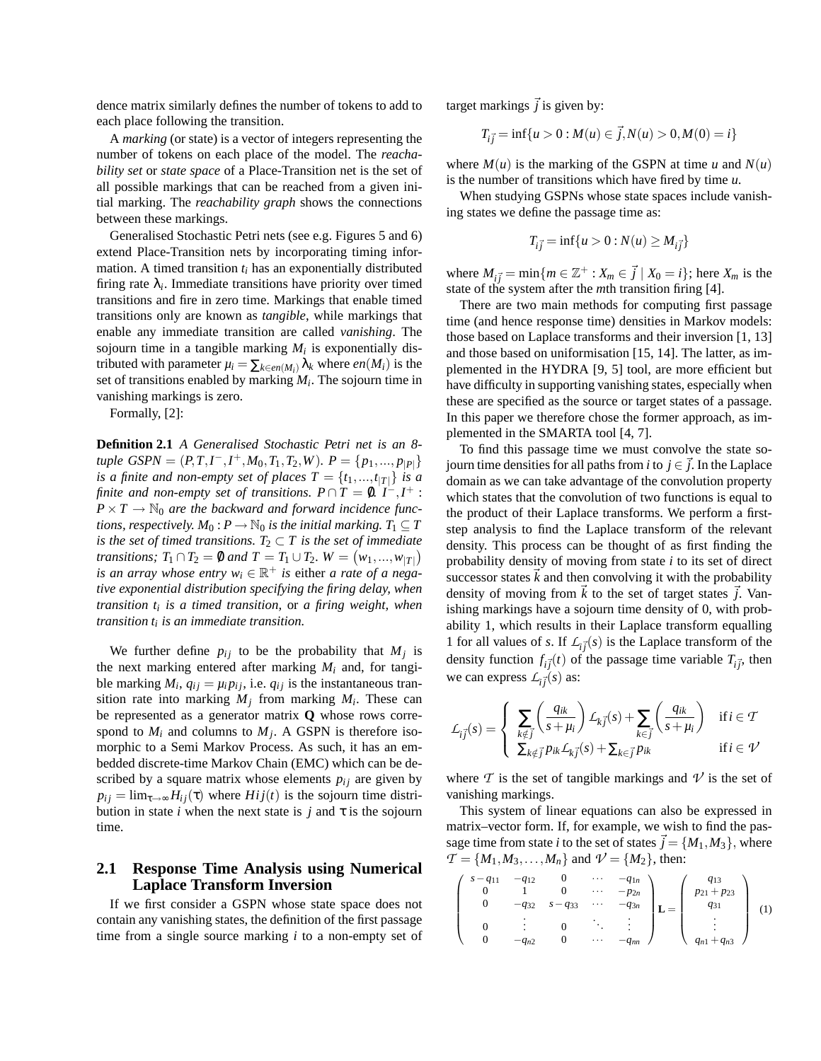dence matrix similarly defines the number of tokens to add to each place following the transition.

A *marking* (or state) is a vector of integers representing the number of tokens on each place of the model. The *reachability set* or *state space* of a Place-Transition net is the set of all possible markings that can be reached from a given initial marking. The *reachability graph* shows the connections between these markings.

Generalised Stochastic Petri nets (see e.g. Figures 5 and 6) extend Place-Transition nets by incorporating timing information. A timed transition *t<sup>i</sup>* has an exponentially distributed firing rate  $\lambda_i$ . Immediate transitions have priority over timed transitions and fire in zero time. Markings that enable timed transitions only are known as *tangible*, while markings that enable any immediate transition are called *vanishing*. The sojourn time in a tangible marking  $M_i$  is exponentially distributed with parameter  $\mu_i = \sum_{k \in en(M_i)} \lambda_k$  where  $en(M_i)$  is the set of transitions enabled by marking *M<sup>i</sup>* . The sojourn time in vanishing markings is zero.

Formally, [2]:

**Definition 2.1** *A Generalised Stochastic Petri net is an 8- <i>.*  $P = \{p_1, ..., p_{|P|}\}$ *is a finite and non-empty set of places*  $T = \{t_1, ..., t_{|T|}\}$  *is a finite and non-empty set of transitions.*  $P \cap T = \emptyset$ .  $I^-$ ,  $I^+$  :  $P \times T \to \mathbb{N}_0$  *are the backward and forward incidence functions, respectively.*  $M_0: P \to \mathbb{N}_0$  *is the initial marking.*  $T_1 \subseteq T$ *is the set of timed transitions.*  $T_2 \subset T$  *is the set of immediate transitions;*  $T_1 \cap T_2 = \emptyset$  *and*  $T = T_1 \cup T_2$ *.*  $W = (w_1, ..., w_{|T|})$ *is an array whose entry*  $w_i \in \mathbb{R}^+$  *is either a rate of a negative exponential distribution specifying the firing delay, when transition t<sup>i</sup> is a timed transition,* or *a firing weight, when transition t<sup>i</sup> is an immediate transition.*

We further define  $p_{ij}$  to be the probability that  $M_j$  is the next marking entered after marking *M<sup>i</sup>* and, for tangible marking  $M_i$ ,  $q_{ij} = \mu_i p_{ij}$ , i.e.  $q_{ij}$  is the instantaneous transition rate into marking  $M_j$  from marking  $M_i$ . These can be represented as a generator matrix **Q** whose rows correspond to  $M_i$  and columns to  $M_j$ . A GSPN is therefore isomorphic to a Semi Markov Process. As such, it has an embedded discrete-time Markov Chain (EMC) which can be described by a square matrix whose elements  $p_{ij}$  are given by  $p_{ij} = \lim_{\tau \to \infty} H_{ij}(\tau)$  where  $H_{ij}(t)$  is the sojourn time distribution in state *i* when the next state is *j* and  $\tau$  is the sojourn time.

# **2.1 Response Time Analysis using Numerical Laplace Transform Inversion**

If we first consider a GSPN whose state space does not contain any vanishing states, the definition of the first passage time from a single source marking *i* to a non-empty set of target markings  $\vec{j}$  is given by:

$$
T_{i\vec{j}} = \inf\{u > 0 : M(u) \in \vec{j}, N(u) > 0, M(0) = i\}
$$

where  $M(u)$  is the marking of the GSPN at time *u* and  $N(u)$ is the number of transitions which have fired by time *u*.

When studying GSPNs whose state spaces include vanishing states we define the passage time as:

$$
T_{i\vec{j}} = \inf\{u > 0 : N(u) \ge M_{i\vec{j}}\}
$$

where  $M_{i\vec{j}} = \min\{m \in \mathbb{Z}^+ : X_m \in \vec{j} \mid X_0 = i\}$ ; here  $X_m$  is the state of the system after the *m*th transition firing [4].

There are two main methods for computing first passage time (and hence response time) densities in Markov models: those based on Laplace transforms and their inversion [1, 13] and those based on uniformisation [15, 14]. The latter, as implemented in the HYDRA [9, 5] tool, are more efficient but have difficulty in supporting vanishing states, especially when these are specified as the source or target states of a passage. In this paper we therefore chose the former approach, as implemented in the SMARTA tool [4, 7].

To find this passage time we must convolve the state sojourn time densities for all paths from *i* to  $j \in \overrightarrow{j}$ . In the Laplace domain as we can take advantage of the convolution property which states that the convolution of two functions is equal to the product of their Laplace transforms. We perform a firststep analysis to find the Laplace transform of the relevant density. This process can be thought of as first finding the probability density of moving from state *i* to its set of direct successor states  $k$  and then convolving it with the probability density of moving from  $k$  to the set of target states  $j$ . Vanishing markings have a sojourn time density of 0, with probability 1, which results in their Laplace transform equalling 1 for all values of *s*. If  $L_{i\bar{j}}(s)$  is the Laplace transform of the density function  $f_{i\vec{j}}(t)$  of the passage time variable  $T_{i\vec{j}}$ , then we can express  $L_{i\vec{j}}(s)$  as:

$$
\mathcal{L}_{i\overline{j}}(s) = \begin{cases}\n\sum_{k \notin \overline{j}} \left( \frac{q_{ik}}{s + \mu_i} \right) \mathcal{L}_{k\overline{j}}(s) + \sum_{k \in \overline{j}} \left( \frac{q_{ik}}{s + \mu_i} \right) & \text{if } i \in \mathcal{T} \\
\sum_{k \notin \overline{j}} p_{ik} \mathcal{L}_{k\overline{j}}(s) + \sum_{k \in \overline{j}} p_{ik} & \text{if } i \in \mathcal{V}\n\end{cases}
$$

where  $T$  is the set of tangible markings and  $V$  is the set of vanishing markings.

This system of linear equations can also be expressed in matrix–vector form. If, for example, we wish to find the passage time from state *i* to the set of states  $\vec{j} = \{M_1, M_3\}$ , where  $\mathcal{T} = \{M_1, M_3, \dots, M_n\}$  and  $\mathcal{V} = \{M_2\}$ , then:

$$
\begin{pmatrix}\ns-q_{11} & -q_{12} & 0 & \cdots & -q_{1n} \\
0 & 1 & 0 & \cdots & -p_{2n} \\
0 & -q_{32} & s-q_{33} & \cdots & -q_{3n} \\
\vdots & \vdots & \ddots & \vdots & \vdots \\
0 & -q_{n2} & 0 & \cdots & -q_{nn}\n\end{pmatrix}\n\mathbf{L} = \begin{pmatrix}\nq_{13} \\
p_{21} + p_{23} \\
q_{31} \\
\vdots \\
q_{n1} + q_{n3}\n\end{pmatrix} (1)
$$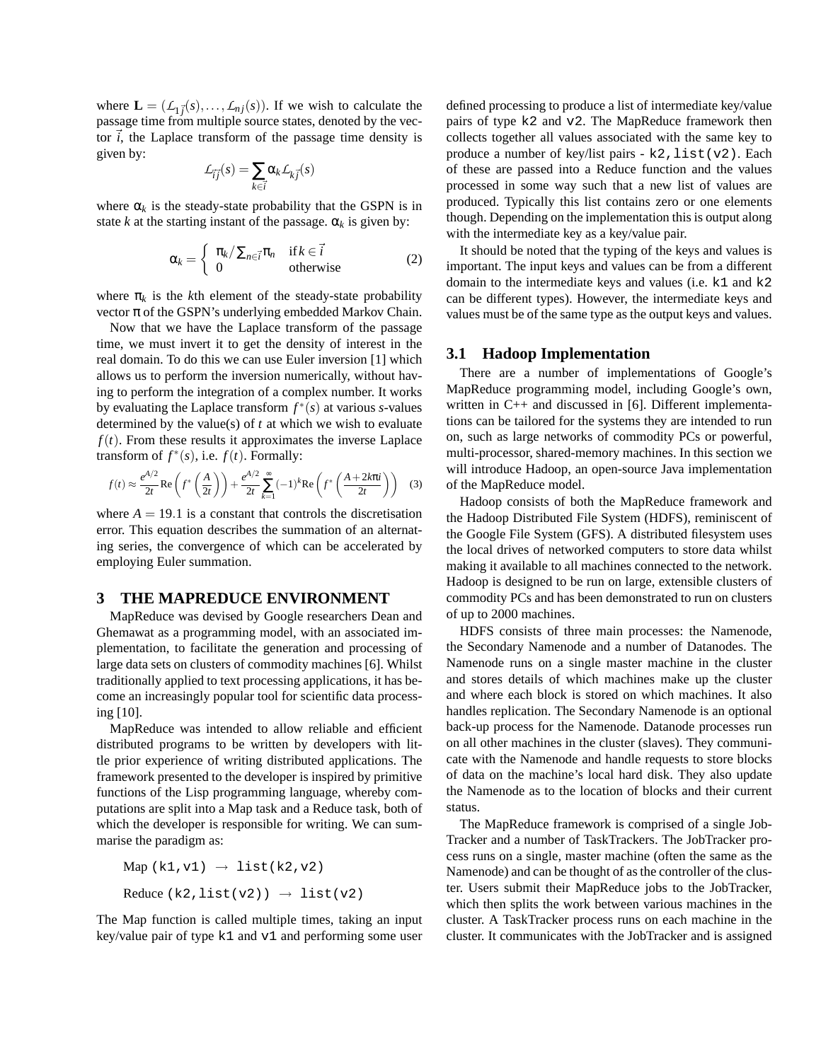where  $\mathbf{L} = (L_{1\vec{j}}(s), \dots, L_{nj}(s))$ . If we wish to calculate the passage time from multiple source states, denoted by the vector *, the Laplace transform of the passage time density is* given by:

$$
\mathcal{L}_{\vec{i}\vec{j}}(s) = \sum_{k\in\vec{i}}\alpha_k\mathcal{L}_{k\vec{j}}(s)
$$

where  $\alpha_k$  is the steady-state probability that the GSPN is in state *k* at the starting instant of the passage.  $\alpha_k$  is given by:

$$
\alpha_k = \begin{cases} \pi_k / \sum_{n \in \vec{i}} \pi_n & \text{if } k \in \vec{i} \\ 0 & \text{otherwise} \end{cases}
$$
 (2)

where  $\pi_k$  is the *k*th element of the steady-state probability vector  $\pi$  of the GSPN's underlying embedded Markov Chain.

Now that we have the Laplace transform of the passage time, we must invert it to get the density of interest in the real domain. To do this we can use Euler inversion [1] which allows us to perform the inversion numerically, without having to perform the integration of a complex number. It works by evaluating the Laplace transform *f* ∗ (*s*) at various *s*-values determined by the value(s) of *t* at which we wish to evaluate  $f(t)$ . From these results it approximates the inverse Laplace transform of  $f^*(s)$ , i.e.  $f(t)$ . Formally:

$$
f(t) \approx \frac{e^{A/2}}{2t} \text{Re}\left(f^*\left(\frac{A}{2t}\right)\right) + \frac{e^{A/2}}{2t} \sum_{k=1}^{\infty} (-1)^k \text{Re}\left(f^*\left(\frac{A+2k\pi i}{2t}\right)\right) \quad (3)
$$

where  $A = 19.1$  is a constant that controls the discretisation error. This equation describes the summation of an alternating series, the convergence of which can be accelerated by employing Euler summation.

## **3 THE MAPREDUCE ENVIRONMENT**

MapReduce was devised by Google researchers Dean and Ghemawat as a programming model, with an associated implementation, to facilitate the generation and processing of large data sets on clusters of commodity machines [6]. Whilst traditionally applied to text processing applications, it has become an increasingly popular tool for scientific data processing [10].

MapReduce was intended to allow reliable and efficient distributed programs to be written by developers with little prior experience of writing distributed applications. The framework presented to the developer is inspired by primitive functions of the Lisp programming language, whereby computations are split into a Map task and a Reduce task, both of which the developer is responsible for writing. We can summarise the paradigm as:

$$
\begin{aligned} \text{Map}(k1, v1) &\rightarrow \text{list}(k2, v2) \\ \text{Reduce}(k2, \text{list}(v2)) &\rightarrow \text{list}(v2) \end{aligned}
$$

The Map function is called multiple times, taking an input key/value pair of type k1 and v1 and performing some user defined processing to produce a list of intermediate key/value pairs of type k2 and v2. The MapReduce framework then collects together all values associated with the same key to produce a number of key/list pairs -  $k2$ , list(v2). Each of these are passed into a Reduce function and the values processed in some way such that a new list of values are produced. Typically this list contains zero or one elements though. Depending on the implementation this is output along with the intermediate key as a key/value pair.

It should be noted that the typing of the keys and values is important. The input keys and values can be from a different domain to the intermediate keys and values (i.e. k1 and k2 can be different types). However, the intermediate keys and values must be of the same type as the output keys and values.

#### **3.1 Hadoop Implementation**

There are a number of implementations of Google's MapReduce programming model, including Google's own, written in C++ and discussed in [6]. Different implementations can be tailored for the systems they are intended to run on, such as large networks of commodity PCs or powerful, multi-processor, shared-memory machines. In this section we will introduce Hadoop, an open-source Java implementation of the MapReduce model.

Hadoop consists of both the MapReduce framework and the Hadoop Distributed File System (HDFS), reminiscent of the Google File System (GFS). A distributed filesystem uses the local drives of networked computers to store data whilst making it available to all machines connected to the network. Hadoop is designed to be run on large, extensible clusters of commodity PCs and has been demonstrated to run on clusters of up to 2000 machines.

HDFS consists of three main processes: the Namenode, the Secondary Namenode and a number of Datanodes. The Namenode runs on a single master machine in the cluster and stores details of which machines make up the cluster and where each block is stored on which machines. It also handles replication. The Secondary Namenode is an optional back-up process for the Namenode. Datanode processes run on all other machines in the cluster (slaves). They communicate with the Namenode and handle requests to store blocks of data on the machine's local hard disk. They also update the Namenode as to the location of blocks and their current status.

The MapReduce framework is comprised of a single Job-Tracker and a number of TaskTrackers. The JobTracker process runs on a single, master machine (often the same as the Namenode) and can be thought of as the controller of the cluster. Users submit their MapReduce jobs to the JobTracker, which then splits the work between various machines in the cluster. A TaskTracker process runs on each machine in the cluster. It communicates with the JobTracker and is assigned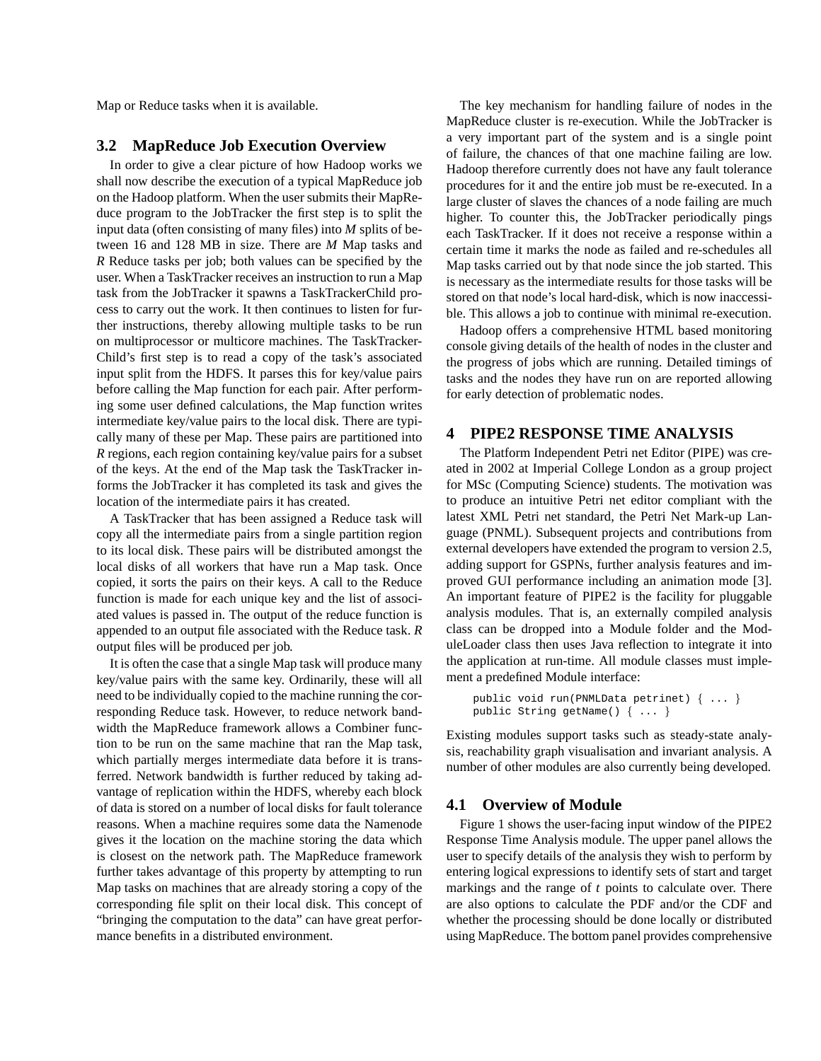Map or Reduce tasks when it is available.

#### **3.2 MapReduce Job Execution Overview**

In order to give a clear picture of how Hadoop works we shall now describe the execution of a typical MapReduce job on the Hadoop platform. When the user submits their MapReduce program to the JobTracker the first step is to split the input data (often consisting of many files) into *M* splits of between 16 and 128 MB in size. There are *M* Map tasks and *R* Reduce tasks per job; both values can be specified by the user. When a TaskTracker receives an instruction to run a Map task from the JobTracker it spawns a TaskTrackerChild process to carry out the work. It then continues to listen for further instructions, thereby allowing multiple tasks to be run on multiprocessor or multicore machines. The TaskTracker-Child's first step is to read a copy of the task's associated input split from the HDFS. It parses this for key/value pairs before calling the Map function for each pair. After performing some user defined calculations, the Map function writes intermediate key/value pairs to the local disk. There are typically many of these per Map. These pairs are partitioned into *R* regions, each region containing key/value pairs for a subset of the keys. At the end of the Map task the TaskTracker informs the JobTracker it has completed its task and gives the location of the intermediate pairs it has created.

A TaskTracker that has been assigned a Reduce task will copy all the intermediate pairs from a single partition region to its local disk. These pairs will be distributed amongst the local disks of all workers that have run a Map task. Once copied, it sorts the pairs on their keys. A call to the Reduce function is made for each unique key and the list of associated values is passed in. The output of the reduce function is appended to an output file associated with the Reduce task. *R* output files will be produced per job.

It is often the case that a single Map task will produce many key/value pairs with the same key. Ordinarily, these will all need to be individually copied to the machine running the corresponding Reduce task. However, to reduce network bandwidth the MapReduce framework allows a Combiner function to be run on the same machine that ran the Map task, which partially merges intermediate data before it is transferred. Network bandwidth is further reduced by taking advantage of replication within the HDFS, whereby each block of data is stored on a number of local disks for fault tolerance reasons. When a machine requires some data the Namenode gives it the location on the machine storing the data which is closest on the network path. The MapReduce framework further takes advantage of this property by attempting to run Map tasks on machines that are already storing a copy of the corresponding file split on their local disk. This concept of "bringing the computation to the data" can have great performance benefits in a distributed environment.

The key mechanism for handling failure of nodes in the MapReduce cluster is re-execution. While the JobTracker is a very important part of the system and is a single point of failure, the chances of that one machine failing are low. Hadoop therefore currently does not have any fault tolerance procedures for it and the entire job must be re-executed. In a large cluster of slaves the chances of a node failing are much higher. To counter this, the JobTracker periodically pings each TaskTracker. If it does not receive a response within a certain time it marks the node as failed and re-schedules all Map tasks carried out by that node since the job started. This is necessary as the intermediate results for those tasks will be stored on that node's local hard-disk, which is now inaccessible. This allows a job to continue with minimal re-execution.

Hadoop offers a comprehensive HTML based monitoring console giving details of the health of nodes in the cluster and the progress of jobs which are running. Detailed timings of tasks and the nodes they have run on are reported allowing for early detection of problematic nodes.

#### **4 PIPE2 RESPONSE TIME ANALYSIS**

The Platform Independent Petri net Editor (PIPE) was created in 2002 at Imperial College London as a group project for MSc (Computing Science) students. The motivation was to produce an intuitive Petri net editor compliant with the latest XML Petri net standard, the Petri Net Mark-up Language (PNML). Subsequent projects and contributions from external developers have extended the program to version 2.5, adding support for GSPNs, further analysis features and improved GUI performance including an animation mode [3]. An important feature of PIPE2 is the facility for pluggable analysis modules. That is, an externally compiled analysis class can be dropped into a Module folder and the ModuleLoader class then uses Java reflection to integrate it into the application at run-time. All module classes must implement a predefined Module interface:

```
public void run(PNMLData petrinet) { ... }
public String getName() { ... }
```
Existing modules support tasks such as steady-state analysis, reachability graph visualisation and invariant analysis. A number of other modules are also currently being developed.

## **4.1 Overview of Module**

Figure 1 shows the user-facing input window of the PIPE2 Response Time Analysis module. The upper panel allows the user to specify details of the analysis they wish to perform by entering logical expressions to identify sets of start and target markings and the range of *t* points to calculate over. There are also options to calculate the PDF and/or the CDF and whether the processing should be done locally or distributed using MapReduce. The bottom panel provides comprehensive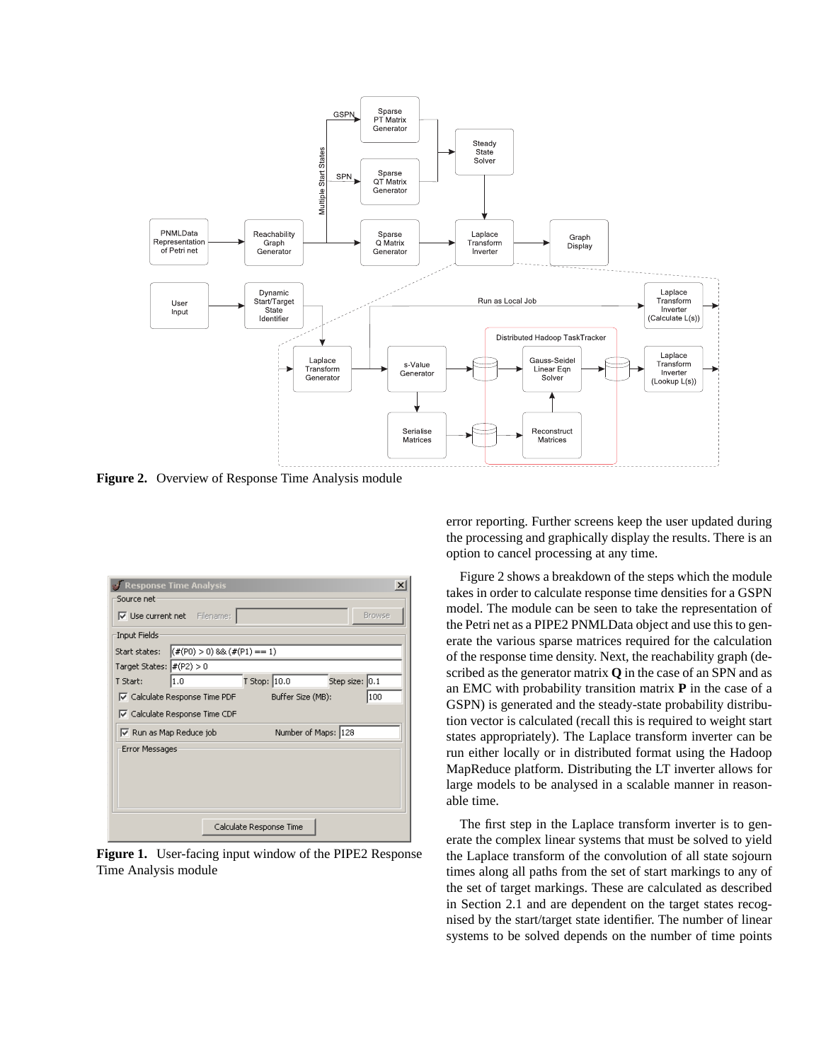

**Figure 2.** Overview of Response Time Analysis module

| <b>Response Time Analysis</b>                                    |                                                       |  |              |                         |  |                |               | $\boldsymbol{\times}$ |
|------------------------------------------------------------------|-------------------------------------------------------|--|--------------|-------------------------|--|----------------|---------------|-----------------------|
| Source net:                                                      |                                                       |  |              |                         |  |                |               |                       |
| <b>V</b> Use current net Filename:                               |                                                       |  |              |                         |  |                | <b>Browse</b> |                       |
| Input Fields                                                     |                                                       |  |              |                         |  |                |               |                       |
| Start states:                                                    | $\ket{(\#(\text{PO}) > 0)}$ && $(\#(\text{P1}) == 1)$ |  |              |                         |  |                |               |                       |
| Target States: $#(P2) > 0$                                       |                                                       |  |              |                         |  |                |               |                       |
| T Start:                                                         | 1.0                                                   |  | T Stop: 10.0 |                         |  | Step size: 0.1 |               |                       |
| 100<br><b>▽</b> Calculate Response Time PDF<br>Buffer Size (MB): |                                                       |  |              |                         |  |                |               |                       |
| <b>▽</b> Calculate Response Time CDF                             |                                                       |  |              |                         |  |                |               |                       |
| Number of Maps: 128<br>▽ Run as Map Reduce job                   |                                                       |  |              |                         |  |                |               |                       |
| <b>Error Messages</b>                                            |                                                       |  |              |                         |  |                |               |                       |
|                                                                  |                                                       |  |              | Calculate Response Time |  |                |               |                       |

**Figure 1.** User-facing input window of the PIPE2 Response Time Analysis module

error reporting. Further screens keep the user updated during the processing and graphically display the results. There is an option to cancel processing at any time.

Figure 2 shows a breakdown of the steps which the module takes in order to calculate response time densities for a GSPN model. The module can be seen to take the representation of the Petri net as a PIPE2 PNMLData object and use this to generate the various sparse matrices required for the calculation of the response time density. Next, the reachability graph (described as the generator matrix **Q** in the case of an SPN and as an EMC with probability transition matrix **P** in the case of a GSPN) is generated and the steady-state probability distribution vector is calculated (recall this is required to weight start states appropriately). The Laplace transform inverter can be run either locally or in distributed format using the Hadoop MapReduce platform. Distributing the LT inverter allows for large models to be analysed in a scalable manner in reasonable time.

The first step in the Laplace transform inverter is to generate the complex linear systems that must be solved to yield the Laplace transform of the convolution of all state sojourn times along all paths from the set of start markings to any of the set of target markings. These are calculated as described in Section 2.1 and are dependent on the target states recognised by the start/target state identifier. The number of linear systems to be solved depends on the number of time points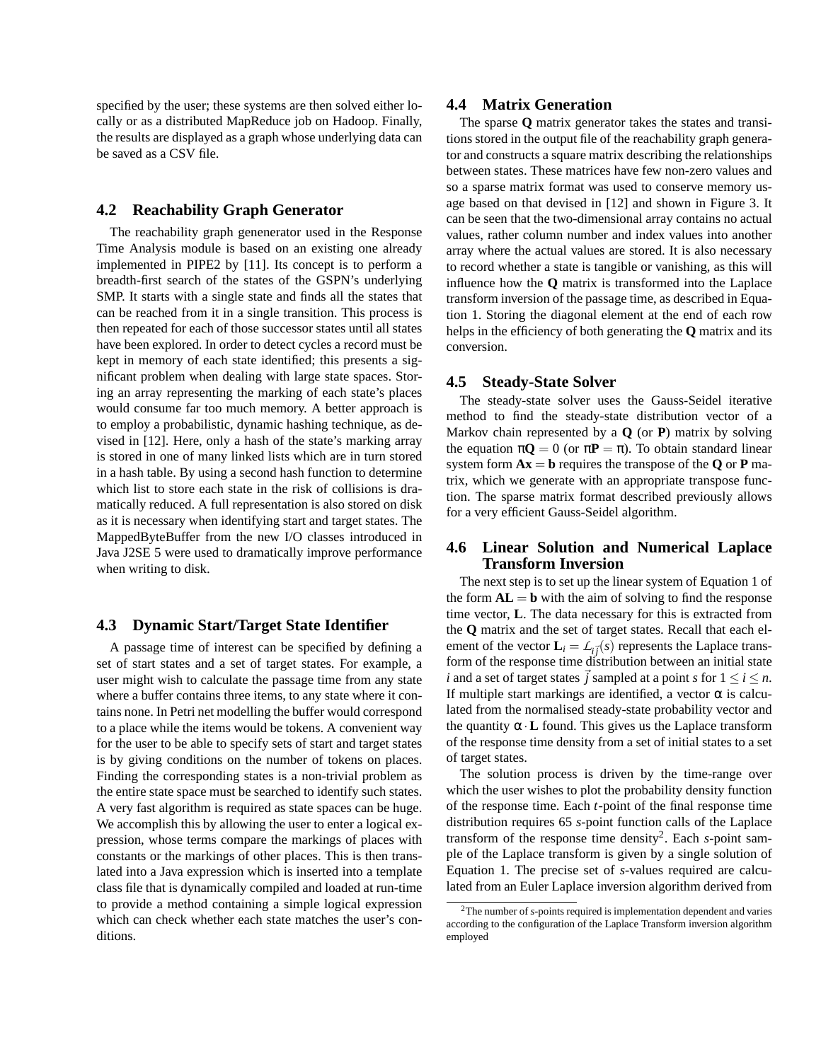specified by the user; these systems are then solved either locally or as a distributed MapReduce job on Hadoop. Finally, the results are displayed as a graph whose underlying data can be saved as a CSV file.

### **4.2 Reachability Graph Generator**

The reachability graph genenerator used in the Response Time Analysis module is based on an existing one already implemented in PIPE2 by [11]. Its concept is to perform a breadth-first search of the states of the GSPN's underlying SMP. It starts with a single state and finds all the states that can be reached from it in a single transition. This process is then repeated for each of those successor states until all states have been explored. In order to detect cycles a record must be kept in memory of each state identified; this presents a significant problem when dealing with large state spaces. Storing an array representing the marking of each state's places would consume far too much memory. A better approach is to employ a probabilistic, dynamic hashing technique, as devised in [12]. Here, only a hash of the state's marking array is stored in one of many linked lists which are in turn stored in a hash table. By using a second hash function to determine which list to store each state in the risk of collisions is dramatically reduced. A full representation is also stored on disk as it is necessary when identifying start and target states. The MappedByteBuffer from the new I/O classes introduced in Java J2SE 5 were used to dramatically improve performance when writing to disk.

## **4.3 Dynamic Start/Target State Identifier**

A passage time of interest can be specified by defining a set of start states and a set of target states. For example, a user might wish to calculate the passage time from any state where a buffer contains three items, to any state where it contains none. In Petri net modelling the buffer would correspond to a place while the items would be tokens. A convenient way for the user to be able to specify sets of start and target states is by giving conditions on the number of tokens on places. Finding the corresponding states is a non-trivial problem as the entire state space must be searched to identify such states. A very fast algorithm is required as state spaces can be huge. We accomplish this by allowing the user to enter a logical expression, whose terms compare the markings of places with constants or the markings of other places. This is then translated into a Java expression which is inserted into a template class file that is dynamically compiled and loaded at run-time to provide a method containing a simple logical expression which can check whether each state matches the user's conditions.

# **4.4 Matrix Generation**

The sparse **Q** matrix generator takes the states and transitions stored in the output file of the reachability graph generator and constructs a square matrix describing the relationships between states. These matrices have few non-zero values and so a sparse matrix format was used to conserve memory usage based on that devised in [12] and shown in Figure 3. It can be seen that the two-dimensional array contains no actual values, rather column number and index values into another array where the actual values are stored. It is also necessary to record whether a state is tangible or vanishing, as this will influence how the **Q** matrix is transformed into the Laplace transform inversion of the passage time, as described in Equation 1. Storing the diagonal element at the end of each row helps in the efficiency of both generating the **Q** matrix and its conversion.

## **4.5 Steady-State Solver**

The steady-state solver uses the Gauss-Seidel iterative method to find the steady-state distribution vector of a Markov chain represented by a **Q** (or **P**) matrix by solving the equation  $\pi \mathbf{Q} = 0$  (or  $\pi \mathbf{P} = \pi$ ). To obtain standard linear system form  $Ax = b$  requires the transpose of the **Q** or **P** matrix, which we generate with an appropriate transpose function. The sparse matrix format described previously allows for a very efficient Gauss-Seidel algorithm.

## **4.6 Linear Solution and Numerical Laplace Transform Inversion**

The next step is to set up the linear system of Equation 1 of the form  $AL = b$  with the aim of solving to find the response time vector, **L**. The data necessary for this is extracted from the **Q** matrix and the set of target states. Recall that each element of the vector  $\mathbf{L}_i = L_{i\overline{j}}(s)$  represents the Laplace transform of the response time distribution between an initial state *i* and a set of target states  $\vec{j}$  sampled at a point *s* for  $1 \le i \le n$ . If multiple start markings are identified, a vector  $\alpha$  is calculated from the normalised steady-state probability vector and the quantity  $\alpha \cdot L$  found. This gives us the Laplace transform of the response time density from a set of initial states to a set of target states.

The solution process is driven by the time-range over which the user wishes to plot the probability density function of the response time. Each *t*-point of the final response time distribution requires 65 *s*-point function calls of the Laplace transform of the response time density<sup>2</sup>. Each *s*-point sample of the Laplace transform is given by a single solution of Equation 1. The precise set of *s*-values required are calculated from an Euler Laplace inversion algorithm derived from

<sup>2</sup>The number of *s*-points required is implementation dependent and varies according to the configuration of the Laplace Transform inversion algorithm employed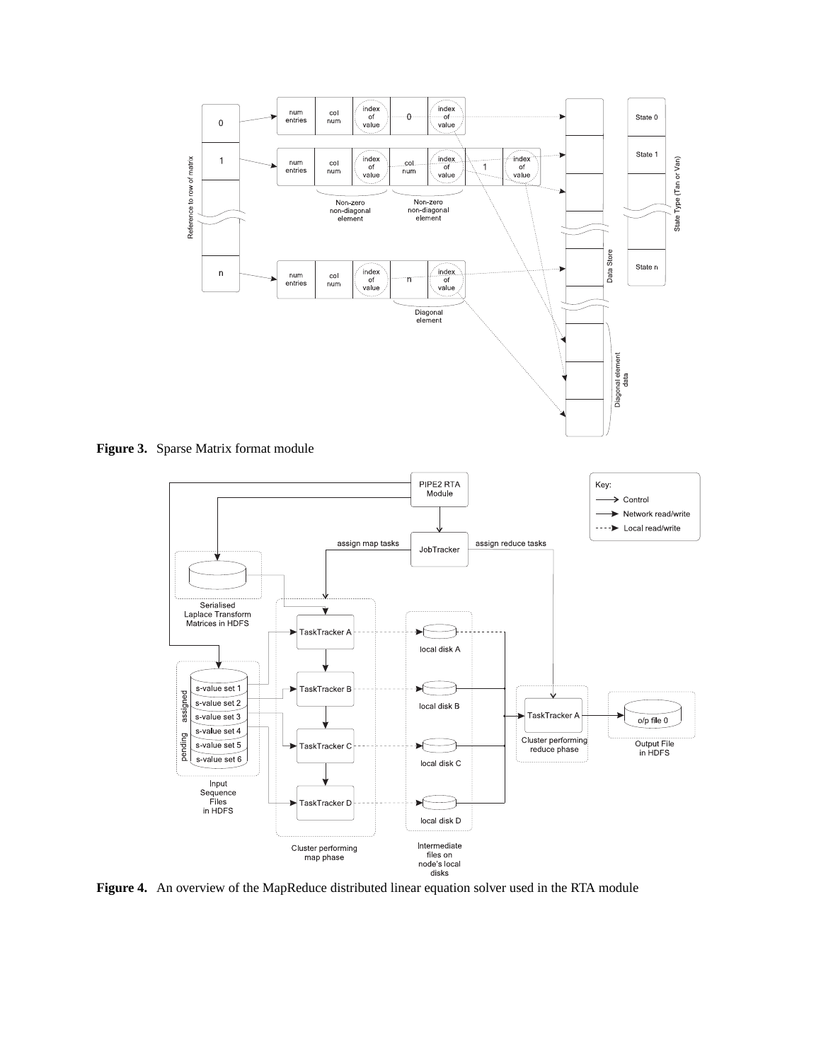

**Figure 3.** Sparse Matrix format module



**Figure 4.** An overview of the MapReduce distributed linear equation solver used in the RTA module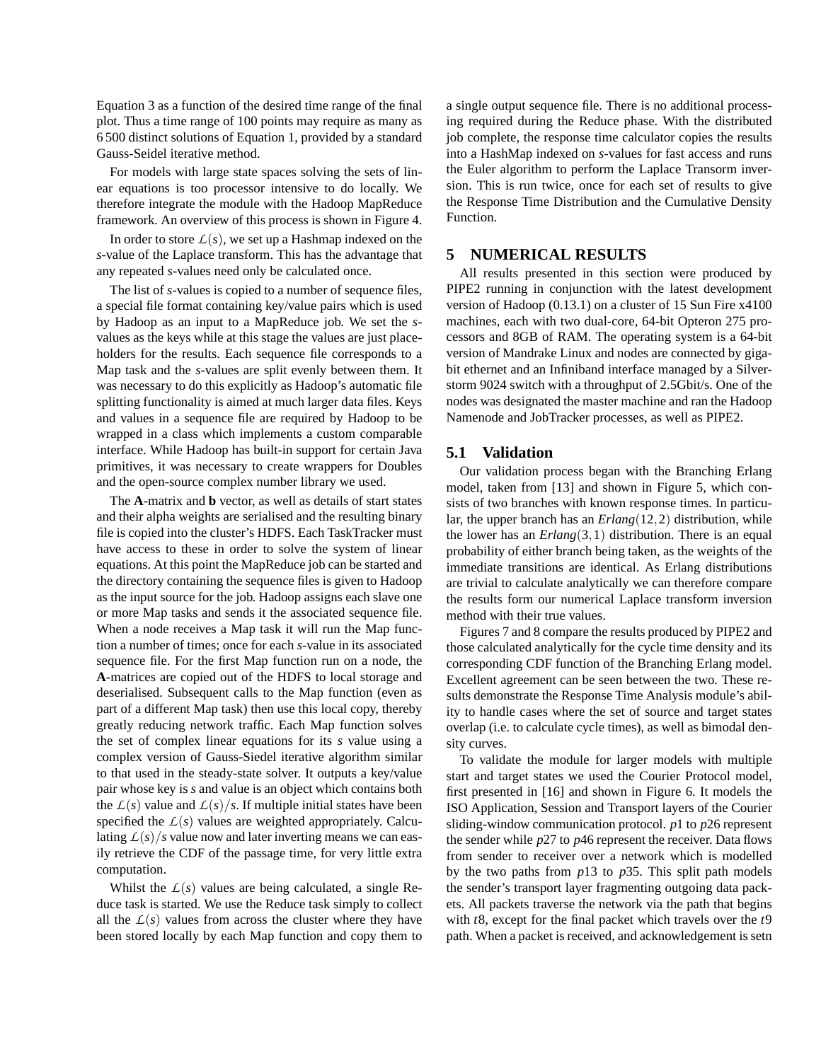Equation 3 as a function of the desired time range of the final plot. Thus a time range of 100 points may require as many as 6 500 distinct solutions of Equation 1, provided by a standard Gauss-Seidel iterative method.

For models with large state spaces solving the sets of linear equations is too processor intensive to do locally. We therefore integrate the module with the Hadoop MapReduce framework. An overview of this process is shown in Figure 4.

In order to store  $L(s)$ , we set up a Hashmap indexed on the *s*-value of the Laplace transform. This has the advantage that any repeated *s*-values need only be calculated once.

The list of *s*-values is copied to a number of sequence files, a special file format containing key/value pairs which is used by Hadoop as an input to a MapReduce job. We set the *s*values as the keys while at this stage the values are just placeholders for the results. Each sequence file corresponds to a Map task and the *s*-values are split evenly between them. It was necessary to do this explicitly as Hadoop's automatic file splitting functionality is aimed at much larger data files. Keys and values in a sequence file are required by Hadoop to be wrapped in a class which implements a custom comparable interface. While Hadoop has built-in support for certain Java primitives, it was necessary to create wrappers for Doubles and the open-source complex number library we used.

The **A**-matrix and **b** vector, as well as details of start states and their alpha weights are serialised and the resulting binary file is copied into the cluster's HDFS. Each TaskTracker must have access to these in order to solve the system of linear equations. At this point the MapReduce job can be started and the directory containing the sequence files is given to Hadoop as the input source for the job. Hadoop assigns each slave one or more Map tasks and sends it the associated sequence file. When a node receives a Map task it will run the Map function a number of times; once for each *s*-value in its associated sequence file. For the first Map function run on a node, the **A**-matrices are copied out of the HDFS to local storage and deserialised. Subsequent calls to the Map function (even as part of a different Map task) then use this local copy, thereby greatly reducing network traffic. Each Map function solves the set of complex linear equations for its *s* value using a complex version of Gauss-Siedel iterative algorithm similar to that used in the steady-state solver. It outputs a key/value pair whose key is *s* and value is an object which contains both the  $L(s)$  value and  $L(s)/s$ . If multiple initial states have been specified the  $L(s)$  values are weighted appropriately. Calculating  $L(s)/s$  value now and later inverting means we can easily retrieve the CDF of the passage time, for very little extra computation.

Whilst the  $L(s)$  values are being calculated, a single Reduce task is started. We use the Reduce task simply to collect all the  $L(s)$  values from across the cluster where they have been stored locally by each Map function and copy them to a single output sequence file. There is no additional processing required during the Reduce phase. With the distributed job complete, the response time calculator copies the results into a HashMap indexed on *s*-values for fast access and runs the Euler algorithm to perform the Laplace Transorm inversion. This is run twice, once for each set of results to give the Response Time Distribution and the Cumulative Density Function.

### **5 NUMERICAL RESULTS**

All results presented in this section were produced by PIPE2 running in conjunction with the latest development version of Hadoop (0.13.1) on a cluster of 15 Sun Fire x4100 machines, each with two dual-core, 64-bit Opteron 275 processors and 8GB of RAM. The operating system is a 64-bit version of Mandrake Linux and nodes are connected by gigabit ethernet and an Infiniband interface managed by a Silverstorm 9024 switch with a throughput of 2.5Gbit/s. One of the nodes was designated the master machine and ran the Hadoop Namenode and JobTracker processes, as well as PIPE2.

### **5.1 Validation**

Our validation process began with the Branching Erlang model, taken from [13] and shown in Figure 5, which consists of two branches with known response times. In particular, the upper branch has an *Erlang*(12,2) distribution, while the lower has an *Erlang*(3,1) distribution. There is an equal probability of either branch being taken, as the weights of the immediate transitions are identical. As Erlang distributions are trivial to calculate analytically we can therefore compare the results form our numerical Laplace transform inversion method with their true values.

Figures 7 and 8 compare the results produced by PIPE2 and those calculated analytically for the cycle time density and its corresponding CDF function of the Branching Erlang model. Excellent agreement can be seen between the two. These results demonstrate the Response Time Analysis module's ability to handle cases where the set of source and target states overlap (i.e. to calculate cycle times), as well as bimodal density curves.

To validate the module for larger models with multiple start and target states we used the Courier Protocol model, first presented in [16] and shown in Figure 6. It models the ISO Application, Session and Transport layers of the Courier sliding-window communication protocol. *p*1 to *p*26 represent the sender while *p*27 to *p*46 represent the receiver. Data flows from sender to receiver over a network which is modelled by the two paths from *p*13 to *p*35. This split path models the sender's transport layer fragmenting outgoing data packets. All packets traverse the network via the path that begins with *t*8, except for the final packet which travels over the *t*9 path. When a packet is received, and acknowledgement is setn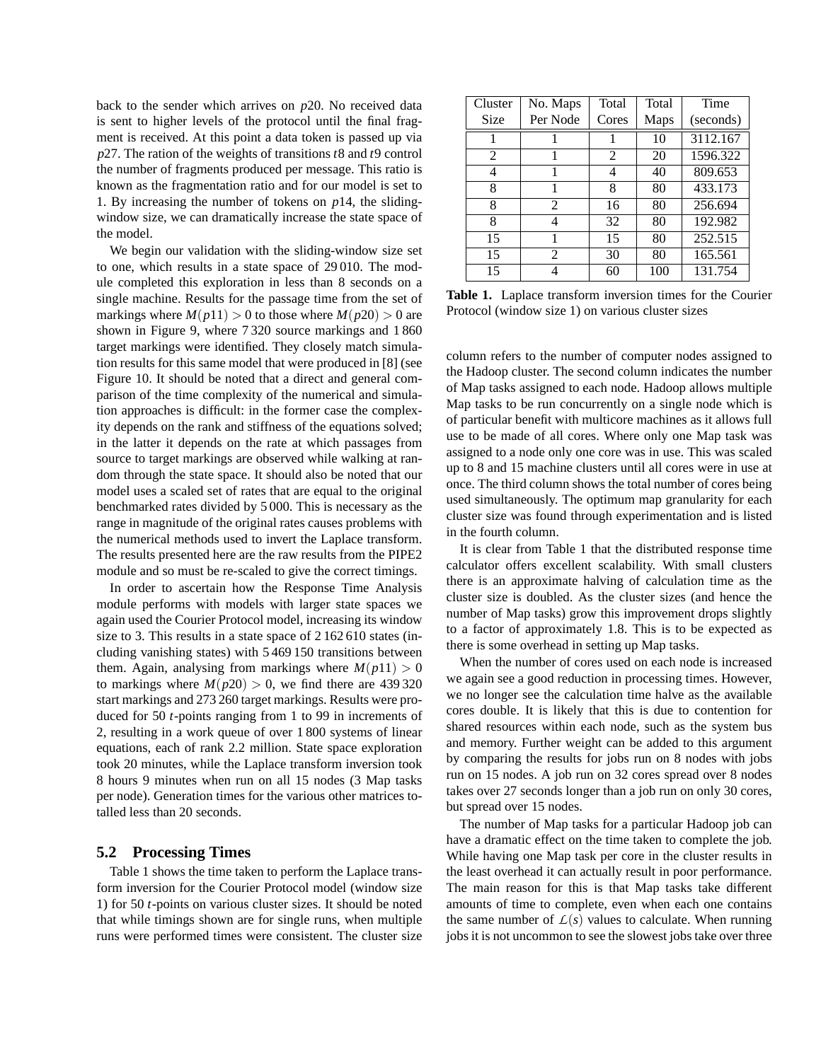back to the sender which arrives on *p*20. No received data is sent to higher levels of the protocol until the final fragment is received. At this point a data token is passed up via *p*27. The ration of the weights of transitions *t*8 and *t*9 control the number of fragments produced per message. This ratio is known as the fragmentation ratio and for our model is set to 1. By increasing the number of tokens on *p*14, the slidingwindow size, we can dramatically increase the state space of the model.

We begin our validation with the sliding-window size set to one, which results in a state space of 29 010. The module completed this exploration in less than 8 seconds on a single machine. Results for the passage time from the set of markings where  $M(p11) > 0$  to those where  $M(p20) > 0$  are shown in Figure 9, where 7 320 source markings and 1 860 target markings were identified. They closely match simulation results for this same model that were produced in [8] (see Figure 10. It should be noted that a direct and general comparison of the time complexity of the numerical and simulation approaches is difficult: in the former case the complexity depends on the rank and stiffness of the equations solved; in the latter it depends on the rate at which passages from source to target markings are observed while walking at random through the state space. It should also be noted that our model uses a scaled set of rates that are equal to the original benchmarked rates divided by 5 000. This is necessary as the range in magnitude of the original rates causes problems with the numerical methods used to invert the Laplace transform. The results presented here are the raw results from the PIPE2 module and so must be re-scaled to give the correct timings.

In order to ascertain how the Response Time Analysis module performs with models with larger state spaces we again used the Courier Protocol model, increasing its window size to 3. This results in a state space of 2 162 610 states (including vanishing states) with 5 469 150 transitions between them. Again, analysing from markings where  $M(p11) > 0$ to markings where  $M(p20) > 0$ , we find there are 439 320 start markings and 273 260 target markings. Results were produced for 50 *t*-points ranging from 1 to 99 in increments of 2, resulting in a work queue of over 1 800 systems of linear equations, each of rank 2.2 million. State space exploration took 20 minutes, while the Laplace transform inversion took 8 hours 9 minutes when run on all 15 nodes (3 Map tasks per node). Generation times for the various other matrices totalled less than 20 seconds.

#### **5.2 Processing Times**

Table 1 shows the time taken to perform the Laplace transform inversion for the Courier Protocol model (window size 1) for 50 *t*-points on various cluster sizes. It should be noted that while timings shown are for single runs, when multiple runs were performed times were consistent. The cluster size

| Cluster | No. Maps | Total | Total | Time      |
|---------|----------|-------|-------|-----------|
| Size    | Per Node | Cores | Maps  | (seconds) |
|         |          |       | 10    | 3112.167  |
| 2       |          | 2     | 20    | 1596.322  |
| 4       |          | 4     | 40    | 809.653   |
| 8       |          | 8     | 80    | 433.173   |
| 8       | 2        | 16    | 80    | 256.694   |
| 8       | 4        | 32    | 80    | 192.982   |
| 15      |          | 15    | 80    | 252.515   |
| 15      | 2        | 30    | 80    | 165.561   |
| 15      |          | 60    | 100   | 131.754   |

**Table 1.** Laplace transform inversion times for the Courier Protocol (window size 1) on various cluster sizes

column refers to the number of computer nodes assigned to the Hadoop cluster. The second column indicates the number of Map tasks assigned to each node. Hadoop allows multiple Map tasks to be run concurrently on a single node which is of particular benefit with multicore machines as it allows full use to be made of all cores. Where only one Map task was assigned to a node only one core was in use. This was scaled up to 8 and 15 machine clusters until all cores were in use at once. The third column shows the total number of cores being used simultaneously. The optimum map granularity for each cluster size was found through experimentation and is listed in the fourth column.

It is clear from Table 1 that the distributed response time calculator offers excellent scalability. With small clusters there is an approximate halving of calculation time as the cluster size is doubled. As the cluster sizes (and hence the number of Map tasks) grow this improvement drops slightly to a factor of approximately 1.8. This is to be expected as there is some overhead in setting up Map tasks.

When the number of cores used on each node is increased we again see a good reduction in processing times. However, we no longer see the calculation time halve as the available cores double. It is likely that this is due to contention for shared resources within each node, such as the system bus and memory. Further weight can be added to this argument by comparing the results for jobs run on 8 nodes with jobs run on 15 nodes. A job run on 32 cores spread over 8 nodes takes over 27 seconds longer than a job run on only 30 cores, but spread over 15 nodes.

The number of Map tasks for a particular Hadoop job can have a dramatic effect on the time taken to complete the job. While having one Map task per core in the cluster results in the least overhead it can actually result in poor performance. The main reason for this is that Map tasks take different amounts of time to complete, even when each one contains the same number of  $L(s)$  values to calculate. When running jobs it is not uncommon to see the slowest jobs take over three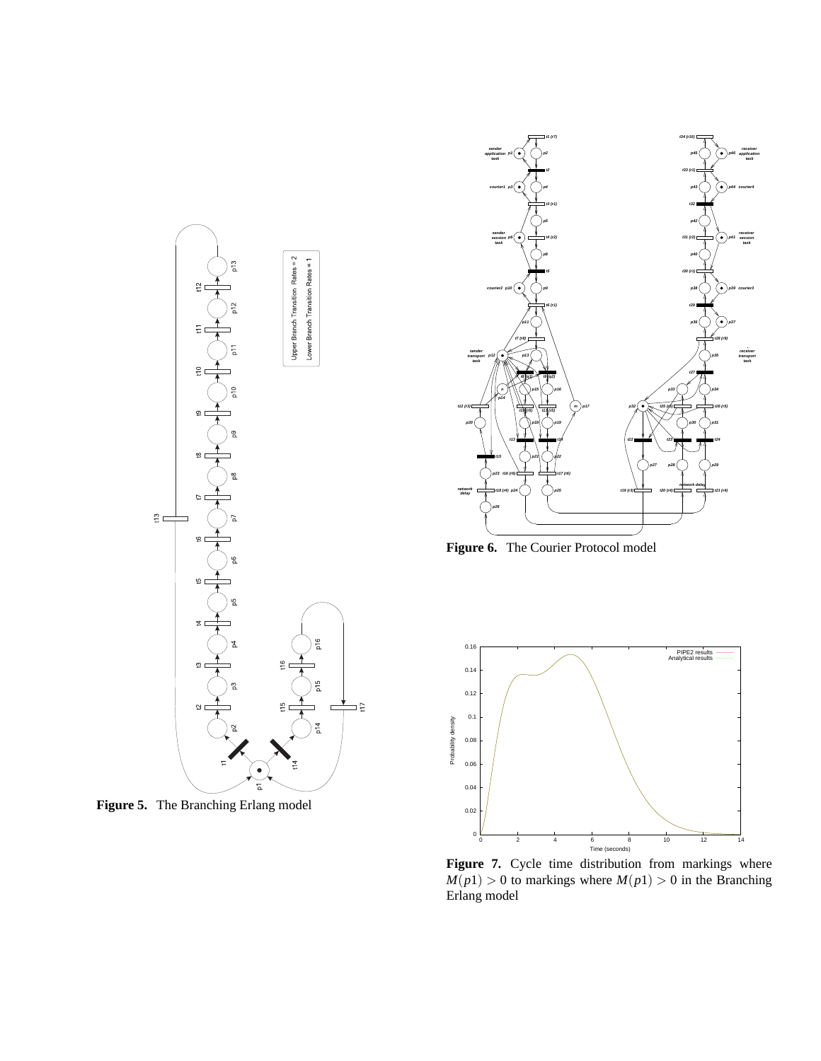

**Figure 5.** The Branching Erlang model



**Figure 6.** The Courier Protocol model



**Figure 7.** Cycle time distribution from markings where  $M(p1) > 0$  to markings where  $M(p1) > 0$  in the Branching Erlang model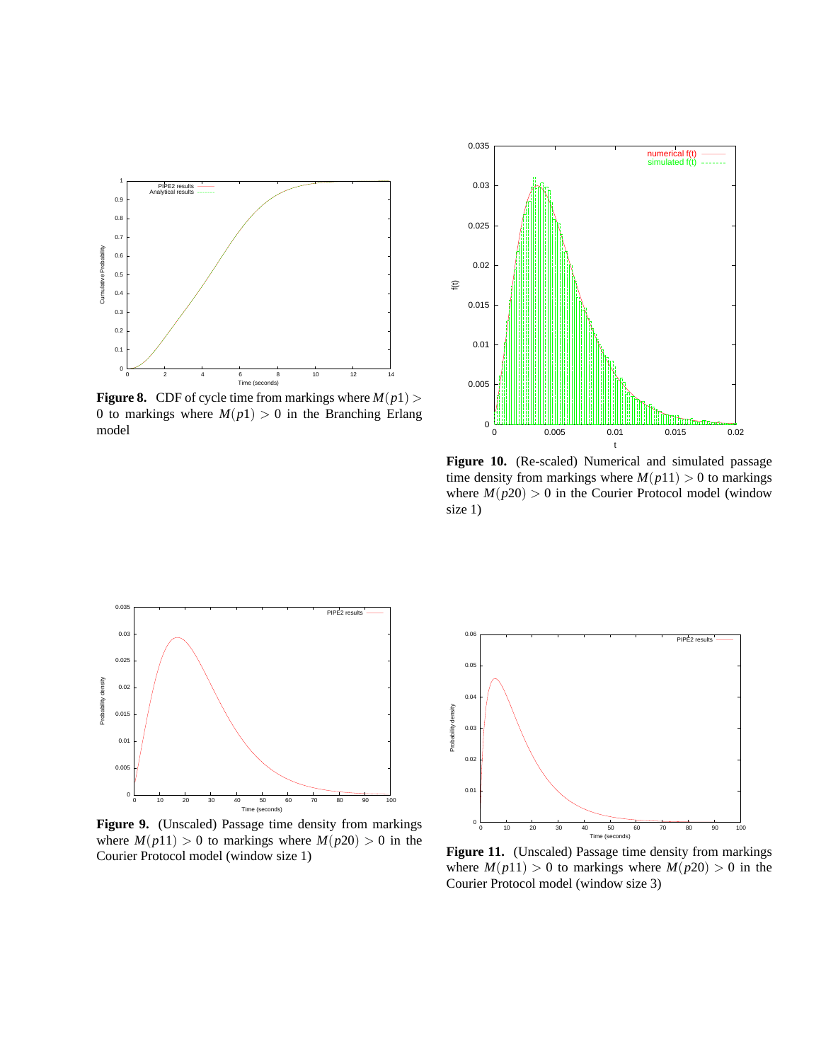

**Figure 8.** CDF of cycle time from markings where  $M(p1)$ 0 to markings where  $M(p1) > 0$  in the Branching Erlang model



**Figure 10.** (Re-scaled) Numerical and simulated passage time density from markings where  $M(p11) > 0$  to markings where  $M(p20) > 0$  in the Courier Protocol model (window size 1)



**Figure 9.** (Unscaled) Passage time density from markings where  $M(p11) > 0$  to markings where  $M(p20) > 0$  in the Courier Protocol model (window size 1)



**Figure 11.** (Unscaled) Passage time density from markings where  $M(p11) > 0$  to markings where  $M(p20) > 0$  in the Courier Protocol model (window size 3)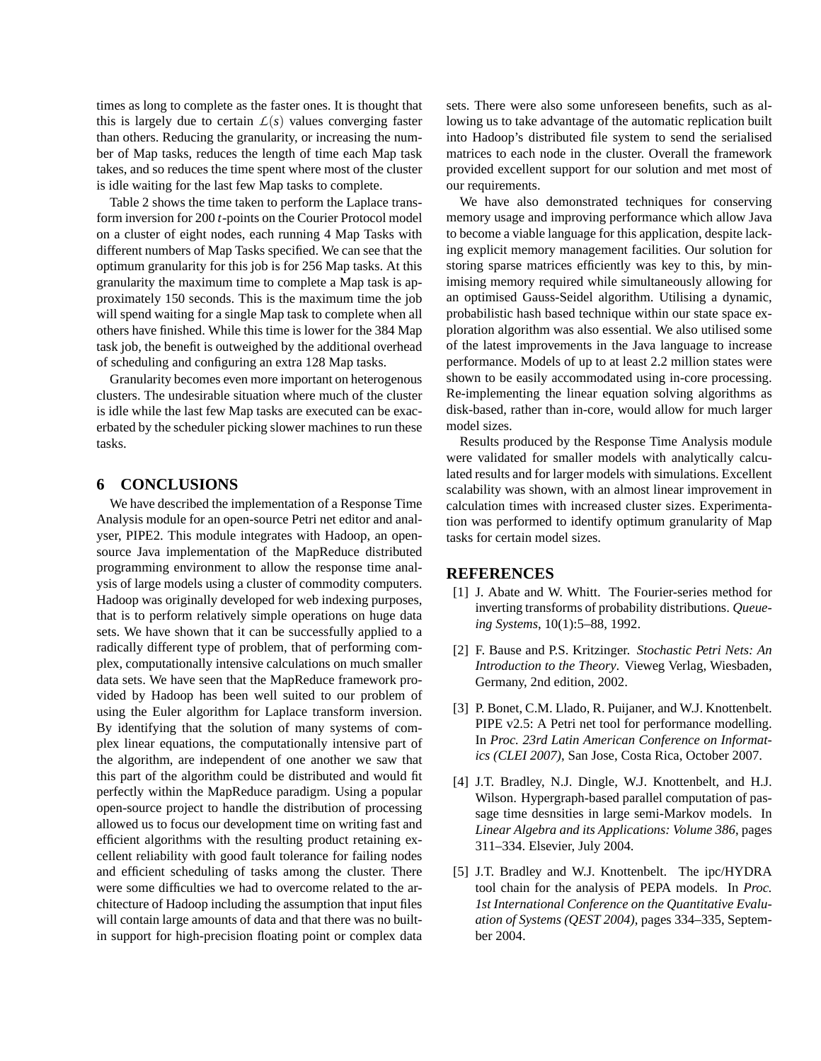times as long to complete as the faster ones. It is thought that this is largely due to certain  $L(s)$  values converging faster than others. Reducing the granularity, or increasing the number of Map tasks, reduces the length of time each Map task takes, and so reduces the time spent where most of the cluster is idle waiting for the last few Map tasks to complete.

Table 2 shows the time taken to perform the Laplace transform inversion for 200 *t*-points on the Courier Protocol model on a cluster of eight nodes, each running 4 Map Tasks with different numbers of Map Tasks specified. We can see that the optimum granularity for this job is for 256 Map tasks. At this granularity the maximum time to complete a Map task is approximately 150 seconds. This is the maximum time the job will spend waiting for a single Map task to complete when all others have finished. While this time is lower for the 384 Map task job, the benefit is outweighed by the additional overhead of scheduling and configuring an extra 128 Map tasks.

Granularity becomes even more important on heterogenous clusters. The undesirable situation where much of the cluster is idle while the last few Map tasks are executed can be exacerbated by the scheduler picking slower machines to run these tasks.

### **6 CONCLUSIONS**

We have described the implementation of a Response Time Analysis module for an open-source Petri net editor and analyser, PIPE2. This module integrates with Hadoop, an opensource Java implementation of the MapReduce distributed programming environment to allow the response time analysis of large models using a cluster of commodity computers. Hadoop was originally developed for web indexing purposes, that is to perform relatively simple operations on huge data sets. We have shown that it can be successfully applied to a radically different type of problem, that of performing complex, computationally intensive calculations on much smaller data sets. We have seen that the MapReduce framework provided by Hadoop has been well suited to our problem of using the Euler algorithm for Laplace transform inversion. By identifying that the solution of many systems of complex linear equations, the computationally intensive part of the algorithm, are independent of one another we saw that this part of the algorithm could be distributed and would fit perfectly within the MapReduce paradigm. Using a popular open-source project to handle the distribution of processing allowed us to focus our development time on writing fast and efficient algorithms with the resulting product retaining excellent reliability with good fault tolerance for failing nodes and efficient scheduling of tasks among the cluster. There were some difficulties we had to overcome related to the architecture of Hadoop including the assumption that input files will contain large amounts of data and that there was no builtin support for high-precision floating point or complex data sets. There were also some unforeseen benefits, such as allowing us to take advantage of the automatic replication built into Hadoop's distributed file system to send the serialised matrices to each node in the cluster. Overall the framework provided excellent support for our solution and met most of our requirements.

We have also demonstrated techniques for conserving memory usage and improving performance which allow Java to become a viable language for this application, despite lacking explicit memory management facilities. Our solution for storing sparse matrices efficiently was key to this, by minimising memory required while simultaneously allowing for an optimised Gauss-Seidel algorithm. Utilising a dynamic, probabilistic hash based technique within our state space exploration algorithm was also essential. We also utilised some of the latest improvements in the Java language to increase performance. Models of up to at least 2.2 million states were shown to be easily accommodated using in-core processing. Re-implementing the linear equation solving algorithms as disk-based, rather than in-core, would allow for much larger model sizes.

Results produced by the Response Time Analysis module were validated for smaller models with analytically calculated results and for larger models with simulations. Excellent scalability was shown, with an almost linear improvement in calculation times with increased cluster sizes. Experimentation was performed to identify optimum granularity of Map tasks for certain model sizes.

#### **REFERENCES**

- [1] J. Abate and W. Whitt. The Fourier-series method for inverting transforms of probability distributions. *Queueing Systems*, 10(1):5–88, 1992.
- [2] F. Bause and P.S. Kritzinger. *Stochastic Petri Nets: An Introduction to the Theory*. Vieweg Verlag, Wiesbaden, Germany, 2nd edition, 2002.
- [3] P. Bonet, C.M. Llado, R. Puijaner, and W.J. Knottenbelt. PIPE v2.5: A Petri net tool for performance modelling. In *Proc. 23rd Latin American Conference on Informatics (CLEI 2007)*, San Jose, Costa Rica, October 2007.
- [4] J.T. Bradley, N.J. Dingle, W.J. Knottenbelt, and H.J. Wilson. Hypergraph-based parallel computation of passage time desnsities in large semi-Markov models. In *Linear Algebra and its Applications: Volume 386*, pages 311–334. Elsevier, July 2004.
- [5] J.T. Bradley and W.J. Knottenbelt. The ipc/HYDRA tool chain for the analysis of PEPA models. In *Proc. 1st International Conference on the Quantitative Evaluation of Systems (QEST 2004)*, pages 334–335, September 2004.